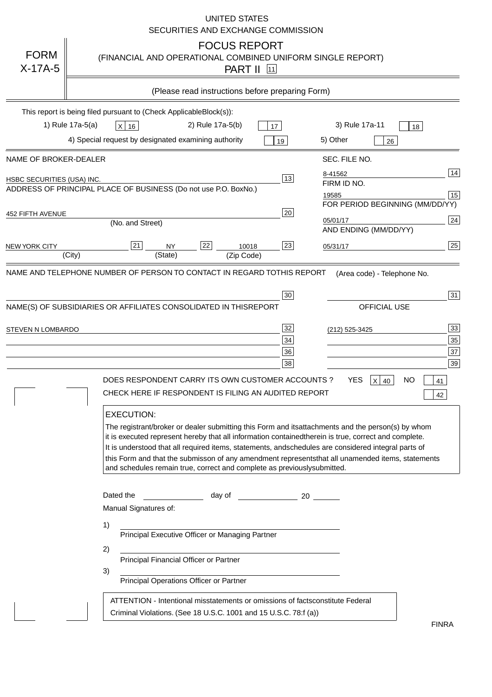|                            | <b>UNITED STATES</b><br>SECURITIES AND EXCHANGE COMMISSION                                                                                                                                                                                                                                                                                                                                                                                                                                                                                                                      |
|----------------------------|---------------------------------------------------------------------------------------------------------------------------------------------------------------------------------------------------------------------------------------------------------------------------------------------------------------------------------------------------------------------------------------------------------------------------------------------------------------------------------------------------------------------------------------------------------------------------------|
| <b>FORM</b><br>$X-17A-5$   | <b>FOCUS REPORT</b><br>(FINANCIAL AND OPERATIONAL COMBINED UNIFORM SINGLE REPORT)<br>PART II<br> 11                                                                                                                                                                                                                                                                                                                                                                                                                                                                             |
|                            | (Please read instructions before preparing Form)                                                                                                                                                                                                                                                                                                                                                                                                                                                                                                                                |
|                            | This report is being filed pursuant to (Check Applicable<br>$Block(s)$ :<br>3) Rule 17a-11<br>1) Rule 17a-5(a)<br>2) Rule 17a-5(b)<br>$X$ 16<br>17<br>18<br>4) Special request by designated examining authority<br>5) Other<br>19<br>26                                                                                                                                                                                                                                                                                                                                        |
| NAME OF BROKER-DEALER      | SEC. FILE NO.                                                                                                                                                                                                                                                                                                                                                                                                                                                                                                                                                                   |
| HSBC SECURITIES (USA) INC. | 14<br>8-41562<br>13<br>FIRM ID NO.<br>ADDRESS OF PRINCIPAL PLACE OF BUSINESS (Do not use P.O. Box<br>No.)<br>15<br>19585<br>FOR PERIOD BEGINNING (MM/DD/YY)                                                                                                                                                                                                                                                                                                                                                                                                                     |
| <b>452 FIFTH AVENUE</b>    | 20<br>24<br>05/01/17<br>(No. and Street)<br>AND ENDING (MM/DD/YY)                                                                                                                                                                                                                                                                                                                                                                                                                                                                                                               |
| <b>NEW YORK CITY</b>       | 25<br>21<br>22<br>23<br><b>NY</b><br>10018<br>05/31/17<br>(City)<br>(State)<br>(Zip Code)                                                                                                                                                                                                                                                                                                                                                                                                                                                                                       |
| STEVEN N LOMBARDO          | 31<br>$30\,$<br>NAME(S) OF SUBSIDIARIES OR AFFILIATES CONSOLIDATED IN THIS<br>OFFICIAL USE<br><b>REPORT</b><br>33<br>32<br>(212) 525-3425<br>35<br>34<br>37<br>36<br>39<br>38<br>DOES RESPONDENT CARRY ITS OWN CUSTOMER ACCOUNTS?<br><b>YES</b><br><b>NO</b><br>$X$ 40<br>41<br>CHECK HERE IF RESPONDENT IS FILING AN AUDITED REPORT<br>42<br><b>EXECUTION:</b>                                                                                                                                                                                                                 |
|                            | The registrant/broker or dealer submitting this Form and its<br>attachments and the person(s) by whom<br>it is executed represent hereby that all information contained<br>therein is true, correct and complete.<br>It is understood that all required items, statements, and<br>schedules are considered integral parts of<br>this Form and that the submisson of any amendment represents<br>that all unamended items, statements<br>and schedules remain true, correct and complete as previously<br>submitted.<br>Dated the<br>day of<br>20<br>Manual Signatures of:<br>1) |
|                            | Principal Executive Officer or Managing Partner<br>2)<br>Principal Financial Officer or Partner<br>3)<br>Principal Operations Officer or Partner                                                                                                                                                                                                                                                                                                                                                                                                                                |
|                            | ATTENTION - Intentional misstatements or omissions of facts<br>constitute Federal<br>Criminal Violations. (See 18 U.S.C. 1001 and 15 U.S.C. 78:f (a)<br><b>FINRA</b>                                                                                                                                                                                                                                                                                                                                                                                                            |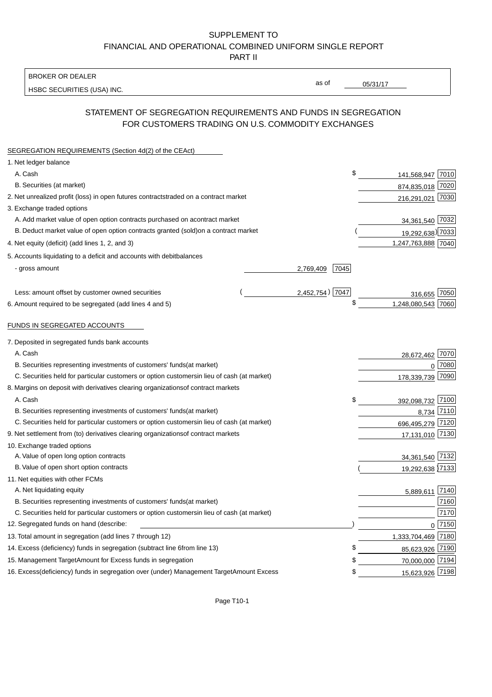BROKER OR DEALER

HSBC SECURITIES (USA) INC.

05/31/17

as of

# STATEMENT OF SEGREGATION REQUIREMENTS AND FUNDS IN SEGREGATION FOR CUSTOMERS TRADING ON U.S. COMMODITY EXCHANGES

| SEGREGATION REQUIREMENTS (Section 4d(2) of the CEAct)                                          |                    |                    |          |
|------------------------------------------------------------------------------------------------|--------------------|--------------------|----------|
| 1. Net ledger balance                                                                          |                    |                    |          |
| A. Cash                                                                                        | \$                 | 141,568,947 7010   |          |
| B. Securities (at market)                                                                      |                    | 874,835,018 7020   |          |
| 2. Net unrealized profit (loss) in open futures contracts<br>traded on a contract market       |                    | 216,291,021 7030   |          |
| 3. Exchange traded options                                                                     |                    |                    |          |
| A. Add market value of open option contracts purchased on a<br>contract market                 |                    | 34,361,540 7032    |          |
| B. Deduct market value of open option contracts granted (sold)<br>on a contract market         |                    | 19,292,638) 7033   |          |
| 4. Net equity (deficit) (add lines 1, 2, and 3)                                                |                    | 1,247,763,888 7040 |          |
| 5. Accounts liquidating to a deficit and accounts with debit<br>balances                       |                    |                    |          |
| - gross amount                                                                                 | 2,769,409<br>7045  |                    |          |
|                                                                                                |                    |                    |          |
| Less: amount offset by customer owned securities                                               | $2,452,754$ ) 7047 | 316,655 7050       |          |
| 6. Amount required to be segregated (add lines 4 and 5)                                        | \$                 | 1,248,080,543 7060 |          |
|                                                                                                |                    |                    |          |
| FUNDS IN SEGREGATED ACCOUNTS                                                                   |                    |                    |          |
| 7. Deposited in segregated funds bank accounts                                                 |                    |                    |          |
| A. Cash                                                                                        |                    | 28,672,462         | 7070     |
| B. Securities representing investments of customers' funds<br>(at market)                      |                    | $\Omega$           | 7080     |
| C. Securities held for particular customers or option customers<br>in lieu of cash (at market) |                    | 178,339,739        | 7090     |
| 8. Margins on deposit with derivatives clearing organizations<br>of contract markets           |                    |                    |          |
| A. Cash                                                                                        | \$                 | 392,098,732 7100   |          |
| B. Securities representing investments of customers' funds<br>(at market)                      |                    | 8,734 7110         |          |
| C. Securities held for particular customers or option customers<br>in lieu of cash (at market) |                    | 696,495,279 7120   |          |
| 9. Net settlement from (to) derivatives clearing organizations<br>of contract markets          |                    | 17,131,010 7130    |          |
| 10. Exchange traded options                                                                    |                    |                    |          |
| A. Value of open long option contracts                                                         |                    | 34,361,540 7132    |          |
| B. Value of open short option contracts                                                        |                    | 19,292,638 7133    |          |
| 11. Net equities with other FCMs                                                               |                    |                    |          |
| A. Net liquidating equity                                                                      |                    | 5,889,611          | 7140     |
| B. Securities representing investments of customers' funds<br>(at market)                      |                    |                    | 7160     |
| C. Securities held for particular customers or option customers<br>in lieu of cash (at market) |                    |                    | 7170     |
| 12. Segregated funds on hand (describe:                                                        |                    |                    | $0$ 7150 |
| 13. Total amount in segregation (add lines 7 through 12)                                       |                    | 1,333,704,469 7180 |          |
| 14. Excess (deficiency) funds in segregation (subtract line 6<br>from line 13)                 | S                  | 85,623,926 7190    |          |
| 15. Management Target Amount for Excess funds in segregation                                   | S                  | 70,000,000 7194    |          |
| 16. Excess (deficiency) funds in segregation over (under) Management Target Amount Excess      | \$                 | 15,623,926 7198    |          |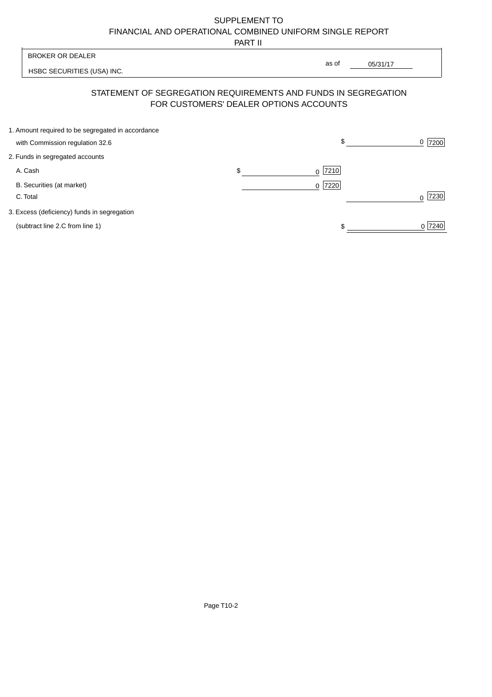PART II

|                                                                                      | .  |                  |                                                                                                                               |
|--------------------------------------------------------------------------------------|----|------------------|-------------------------------------------------------------------------------------------------------------------------------|
| <b>BROKER OR DEALER</b>                                                              |    |                  |                                                                                                                               |
| HSBC SECURITIES (USA) INC.                                                           |    |                  |                                                                                                                               |
|                                                                                      |    |                  |                                                                                                                               |
| 1. Amount required to be segregated in accordance<br>with Commission regulation 32.6 |    | \$               | 7200<br>0                                                                                                                     |
| 2. Funds in segregated accounts                                                      |    |                  |                                                                                                                               |
| A. Cash                                                                              | \$ | 7210<br>0        |                                                                                                                               |
| B. Securities (at market)<br>C. Total                                                |    | 7220<br>$\Omega$ | 7230<br>U                                                                                                                     |
| 3. Excess (deficiency) funds in segregation                                          |    |                  |                                                                                                                               |
| (subtract line 2.C from line 1)                                                      |    |                  | 0 7240                                                                                                                        |
|                                                                                      |    |                  | as of<br>05/31/17<br>STATEMENT OF SEGREGATION REQUIREMENTS AND FUNDS IN SEGREGATION<br>FOR CUSTOMERS' DEALER OPTIONS ACCOUNTS |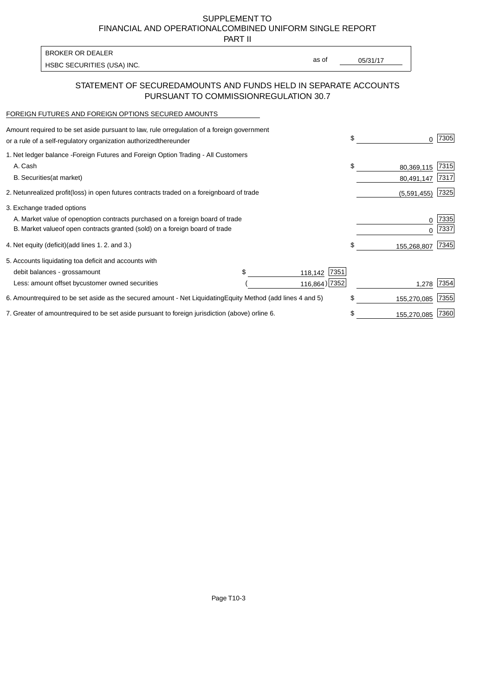PART II

HSBC SECURITIES (USA) INC. The state of the second second in the second second second second second second second second second second second second second second second second second second second second second second sec BROKER OR DEALER

as of

## STATEMENT OF SECURED AMOUNTS AND FUNDS HELD IN SEPARATE ACCOUNTS PURSUANT TO COMMISSION REGULATION 30.7

#### FOREIGN FUTURES AND FOREIGN OPTIONS SECURED AMOUNTS

| regulation of a foreign government<br>Amount required to be set aside pursuant to law, rule or<br>or a rule of a self-regulatory organization authorized<br>thereunder                       |                                   |                 | \$<br>0                   | 7305         |
|----------------------------------------------------------------------------------------------------------------------------------------------------------------------------------------------|-----------------------------------|-----------------|---------------------------|--------------|
| 1. Net ledger balance - Foreign Futures and Foreign Option Trading - All Customers<br>A. Cash                                                                                                |                                   |                 | \$<br>80,369,115          | 7315         |
| <b>B.</b> Securities<br>(at market)<br>2. Net unrealized profit (loss) in open futures contracts traded on a foreign                                                                         | board of trade                    |                 | 80,491,147<br>(5,591,455) | 7317<br>7325 |
| 3. Exchange traded options<br>A. Market value of open option contracts purchased on a foreign board of trade<br>B. Market value of open contracts granted (sold) on a foreign board of trade |                                   |                 | 0<br><sup>0</sup>         | 7335<br>7337 |
| 4. Net equity (deficit) (add lines 1.2. and 3.)                                                                                                                                              |                                   |                 | \$<br>155,268,807         | 7345         |
| 5. Accounts liquidating to a deficit and accounts with<br>debit balances - gross<br>amount                                                                                                   | \$.                               | 7351<br>118,142 |                           |              |
| Less: amount offset by customer owned securities                                                                                                                                             |                                   | 116,864) 7352   | 1,278                     | 7354         |
| 6. Amount required to be set aside as the secured amount - Net Liquidating                                                                                                                   | Equity Method (add lines 4 and 5) |                 | \$<br>155,270,085         | 7355         |
| 7. Greater of amount required to be set aside pursuant to foreign jurisdiction (above) or                                                                                                    | line 6.                           |                 | \$<br>155,270,085         | 7360         |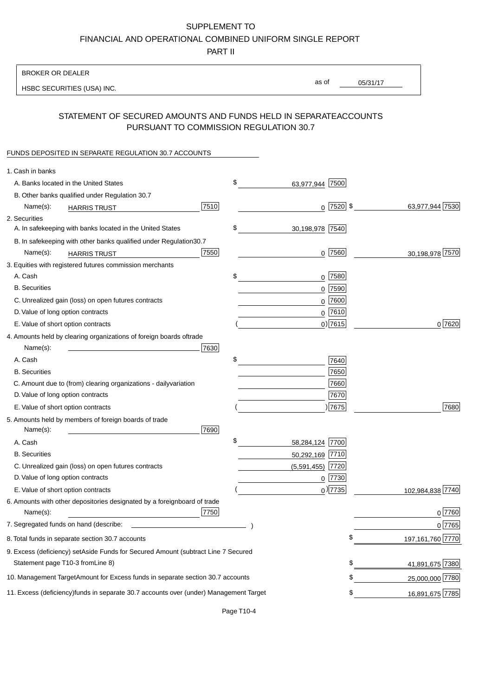PART II

| <b>BROKER OR DEALER</b>                                                                           |                       |             |                 |                    |
|---------------------------------------------------------------------------------------------------|-----------------------|-------------|-----------------|--------------------|
| HSBC SECURITIES (USA) INC.                                                                        | as of                 |             | 05/31/17        |                    |
|                                                                                                   |                       |             |                 |                    |
| STATEMENT OF SECURED AMOUNTS AND FUNDS HELD IN SEPARATE<br>PURSUANT TO COMMISSION REGULATION 30.7 |                       |             | <b>ACCOUNTS</b> |                    |
| FUNDS DEPOSITED IN SEPARATE REGULATION 30.7 ACCOUNTS                                              |                       |             |                 |                    |
| 1. Cash in banks                                                                                  |                       |             |                 |                    |
| A. Banks located in the United States                                                             | \$<br>63,977,944 7500 |             |                 |                    |
| B. Other banks qualified under Regulation 30.7                                                    |                       |             |                 |                    |
| 7510<br>Name(s):<br><b>HARRIS TRUST</b>                                                           |                       | $0$ 7520 \$ |                 | 63,977,944 7530    |
| 2. Securities                                                                                     |                       |             |                 |                    |
| A. In safekeeping with banks located in the United States                                         | \$<br>30,198,978 7540 |             |                 |                    |
| B. In safekeeping with other banks qualified under Regulation<br>30.7                             |                       |             |                 |                    |
| 7550<br>Name(s):<br><b>HARRIS TRUST</b>                                                           |                       | 0 7560      |                 | 30,198,978 7570    |
| 3. Equities with registered futures commission merchants                                          |                       |             |                 |                    |
| A. Cash                                                                                           | \$                    | $0$ 7580    |                 |                    |
| <b>B.</b> Securities                                                                              |                       | $0$ 7590    |                 |                    |
| C. Unrealized gain (loss) on open futures contracts                                               |                       | $0$ 7600    |                 |                    |
| D. Value of long option contracts                                                                 |                       | $0$ 7610    |                 |                    |
| E. Value of short option contracts                                                                |                       | $0)$ 7615   |                 | 0 7620             |
| 4. Amounts held by clearing organizations of foreign boards of<br>trade                           |                       |             |                 |                    |
| Name(s):<br>7630                                                                                  |                       |             |                 |                    |
| A. Cash                                                                                           | \$                    | 7640        |                 |                    |
| <b>B.</b> Securities                                                                              |                       | 7650        |                 |                    |
| C. Amount due to (from) clearing organizations - daily<br>variation                               |                       | 7660        |                 |                    |
| D. Value of long option contracts                                                                 |                       | 7670        |                 |                    |
| E. Value of short option contracts                                                                |                       | ) 7675      |                 | 7680               |
| 5. Amounts held by members of foreign boards of trade<br>Name(s):<br>7690                         |                       |             |                 |                    |
| A. Cash                                                                                           | \$<br>58,284,124 7700 |             |                 |                    |
| <b>B.</b> Securities                                                                              | 50,292,169 7710       |             |                 |                    |
| C. Unrealized gain (loss) on open futures contracts                                               | $(5,591,455)$ 7720    |             |                 |                    |
| D. Value of long option contracts                                                                 |                       | $0$  7730   |                 |                    |
| E. Value of short option contracts                                                                |                       | $0$ ) 7735  |                 | 102,984,838 7740   |
| 6. Amounts with other depositories designated by a foreign<br>board of trade<br>7750<br>Name(s):  |                       |             |                 | 0 7760             |
| 7. Segregated funds on hand (describe:                                                            |                       |             |                 | $0$ 7765           |
| 8. Total funds in separate section 30.7 accounts                                                  |                       |             | \$              | 197, 161, 760 7770 |
| 9. Excess (deficiency) set Aside Funds for Secured Amount (subtract Line 7 Secured                |                       |             |                 |                    |
| Statement page T10-3 from Line 8)                                                                 |                       |             | \$              | 41,891,675 7380    |
| 10. Management Target Amount for Excess funds in separate section 30.7 accounts                   |                       |             | \$              | 25,000,000 7780    |
| 11. Excess (deficiency) funds in separate 30.7 accounts over (under) Management Target            |                       |             | \$              | 16,891,675 7785    |
|                                                                                                   |                       |             |                 |                    |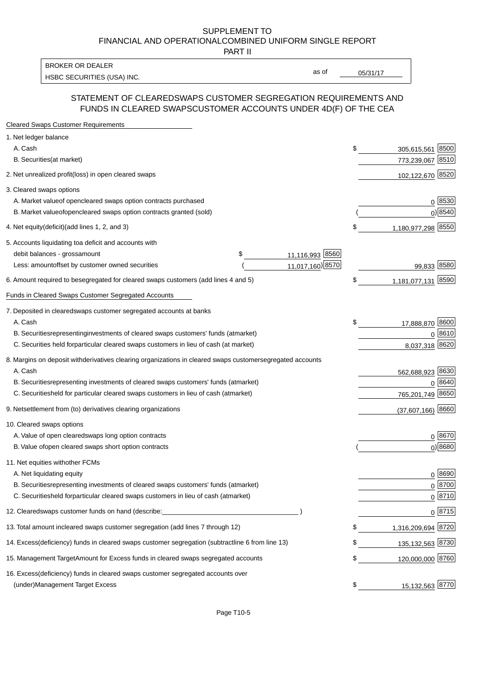PART II

HSBC SECURITIES (USA) INC. The state of the state of the state of the state of the state of the state of the state of the state of the state of the state of the state of the state of the state of the state of the state of BROKER OR DEALER

as of

### STATEMENT OF CLEARED SWAPS CUSTOMER SEGREGATION REQUIREMENTS AND FUNDS IN CLEARED SWAPS CUSTOMER ACCOUNTS UNDER 4D(F) OF THE CEA

| <b>Cleared Swaps Customer Requirements</b>                                                                  |    |                     |
|-------------------------------------------------------------------------------------------------------------|----|---------------------|
| 1. Net ledger balance                                                                                       |    |                     |
| A. Cash                                                                                                     | \$ | 8500<br>305,615,561 |
| B. Securities (at market)                                                                                   |    | 773,239,067 8510    |
| 2. Net unrealized profit (loss) in open cleared swaps                                                       |    | 102,122,670 8520    |
| 3. Cleared swaps options                                                                                    |    |                     |
| A. Market value of open cleared swaps option contracts purchased                                            |    | 0   8530            |
| B. Market value of open cleared swaps option contracts granted (sold)                                       |    | $0)$ 8540           |
| 4. Net equity (deficit) (add lines 1, 2, and 3)                                                             | \$ | 1,180,977,298 8550  |
| 5. Accounts liquidating to a deficit and accounts with                                                      |    |                     |
| 11,116,993 8560<br>debit balances - gross<br>\$<br>amount                                                   |    |                     |
| 11,017,160) 8570<br>Less: amount offset by customer owned securities                                        |    | 99,833 8580         |
| 6. Amount required to be segregated for cleared swaps customers (add lines 4 and 5)                         | \$ | 1,181,077,131 8590  |
| Funds in Cleared Swaps Customer Segregated Accounts                                                         |    |                     |
| 7. Deposited in cleared swaps customer segregated accounts at banks                                         |    |                     |
| A. Cash                                                                                                     | \$ | 17,888,870 8600     |
| B. Securities representing investments of cleared swaps customers' funds (at market)                        |    | $0^{8610}$          |
| C. Securities held for particular cleared swaps customers in lieu of cash (at market)                       |    | 8,037,318 8620      |
| 8. Margins on deposit with derivatives clearing organizations in cleared swaps customer segregated accounts |    |                     |
| A. Cash                                                                                                     |    | 562,688,923 8630    |
| representing investments of cleared swaps customers' funds (at market)<br><b>B.</b> Securities              |    | 8640<br>0           |
| C. Securities held for particular cleared swaps customers in lieu of cash (at market)                       |    | 765,201,749 8650    |
| 9. Net settlement from (to) derivatives clearing organizations                                              |    | $(37,607,166)$ 8660 |
| 10. Cleared swaps options                                                                                   |    |                     |
| A. Value of open cleared swaps long option contracts                                                        |    | $0^{8670}$          |
| B. Value of open cleared swaps short option contracts                                                       |    | $0$ ) 8680          |
| 11. Net equities with other FCMs                                                                            |    |                     |
| A. Net liquidating equity                                                                                   |    | $0^{8690}$          |
| B. Securities representing investments of cleared swaps customers' funds (at market)                        |    | $0^{8700}$          |
| C. Securities held for particular cleared swaps customers in lieu of cash (at market)                       |    | 0 8710              |
| 12. Cleared swaps customer funds on hand (describe:                                                         |    | $0 \;  8715 $       |
| 13. Total amount in cleared swaps customer segregation (add lines 7 through 12)                             | S  | 1,316,209,694 8720  |
| 14. Excess (deficiency) funds in cleared swaps customer segregation (subtract line 6 from line 13)          |    | 135, 132, 563 8730  |
| 15. Management Target Amount for Excess funds in cleared swaps segregated accounts                          | \$ | 120,000,000 8760    |
| 16. Excess<br>(deficiency) funds in cleared swaps customer segregated accounts over                         |    |                     |
| <b>Management Target Excess</b><br>(under)                                                                  | \$ | 15,132,563 8770     |